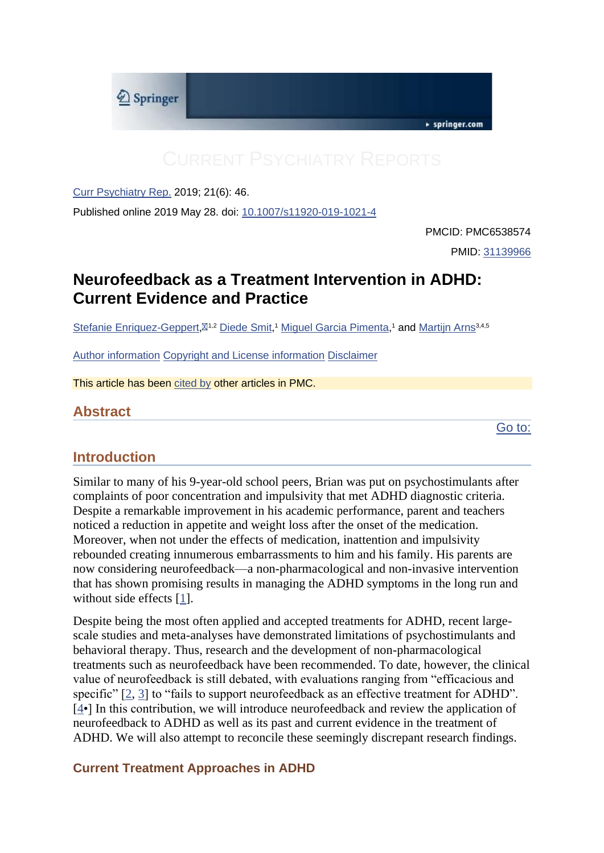

[Curr Psychiatry Rep.](https://www.ncbi.nlm.nih.gov/pmc/articles/PMC6538574/) 2019; 21(6): 46.

Published online 2019 May 28. doi: [10.1007/s11920-019-1021-4](https://dx.doi.org/10.1007%2Fs11920-019-1021-4)

PMCID: PMC6538574 PMID: [31139966](https://www.ncbi.nlm.nih.gov/pubmed/31139966)

# **Neurofeedback as a Treatment Intervention in ADHD: Current Evidence and Practice**

[Stefanie Enriquez-Geppert,](https://www.ncbi.nlm.nih.gov/pubmed/?term=Enriquez-Geppert%20S%5BAuthor%5D&cauthor=true&cauthor_uid=31139966)<sup> $\boxtimes$ 1,2</sup> [Diede Smit,](https://www.ncbi.nlm.nih.gov/pubmed/?term=Smit%20D%5BAuthor%5D&cauthor=true&cauthor_uid=31139966)<sup>1</sup> [Miguel Garcia Pimenta,](https://www.ncbi.nlm.nih.gov/pubmed/?term=Pimenta%20MG%5BAuthor%5D&cauthor=true&cauthor_uid=31139966)<sup>1</sup> and [Martijn Arns](https://www.ncbi.nlm.nih.gov/pubmed/?term=Arns%20M%5BAuthor%5D&cauthor=true&cauthor_uid=31139966)<sup>3,4,5</sup>

[Author information](https://www.ncbi.nlm.nih.gov/pmc/articles/PMC6538574/) [Copyright and License information](https://www.ncbi.nlm.nih.gov/pmc/articles/PMC6538574/) [Disclaimer](https://www.ncbi.nlm.nih.gov/pmc/about/disclaimer/)

This article has been [cited by](https://www.ncbi.nlm.nih.gov/pmc/articles/PMC6538574/citedby/) other articles in PMC.

## **Abstract**

[Go to:](https://www.ncbi.nlm.nih.gov/pmc/articles/PMC6538574/)

## **Introduction**

Similar to many of his 9-year-old school peers, Brian was put on psychostimulants after complaints of poor concentration and impulsivity that met ADHD diagnostic criteria. Despite a remarkable improvement in his academic performance, parent and teachers noticed a reduction in appetite and weight loss after the onset of the medication. Moreover, when not under the effects of medication, inattention and impulsivity rebounded creating innumerous embarrassments to him and his family. His parents are now considering neurofeedback—a non-pharmacological and non-invasive intervention that has shown promising results in managing the ADHD symptoms in the long run and without side effects [\[1\]](https://www.ncbi.nlm.nih.gov/pmc/articles/PMC6538574/#CR1).

Despite being the most often applied and accepted treatments for ADHD, recent largescale studies and meta-analyses have demonstrated limitations of psychostimulants and behavioral therapy. Thus, research and the development of non-pharmacological treatments such as neurofeedback have been recommended. To date, however, the clinical value of neurofeedback is still debated, with evaluations ranging from "efficacious and specific" [\[2,](https://www.ncbi.nlm.nih.gov/pmc/articles/PMC6538574/#CR2) [3\]](https://www.ncbi.nlm.nih.gov/pmc/articles/PMC6538574/#CR3) to "fails to support neurofeedback as an effective treatment for ADHD". [\[4•](https://www.ncbi.nlm.nih.gov/pmc/articles/PMC6538574/#CR4)] In this contribution, we will introduce neurofeedback and review the application of neurofeedback to ADHD as well as its past and current evidence in the treatment of ADHD. We will also attempt to reconcile these seemingly discrepant research findings.

#### **Current Treatment Approaches in ADHD**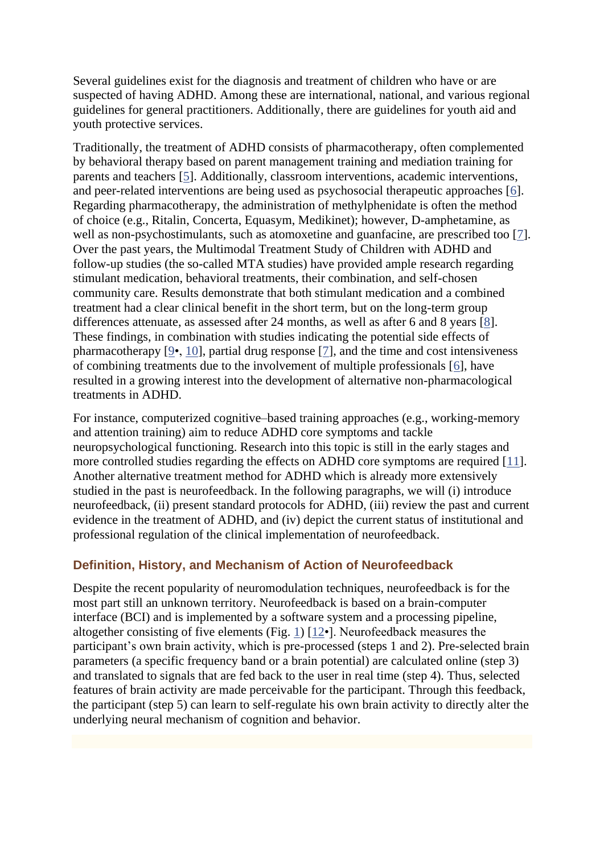Several guidelines exist for the diagnosis and treatment of children who have or are suspected of having ADHD. Among these are international, national, and various regional guidelines for general practitioners. Additionally, there are guidelines for youth aid and youth protective services.

Traditionally, the treatment of ADHD consists of pharmacotherapy, often complemented by behavioral therapy based on parent management training and mediation training for parents and teachers [\[5\]](https://www.ncbi.nlm.nih.gov/pmc/articles/PMC6538574/#CR5). Additionally, classroom interventions, academic interventions, and peer-related interventions are being used as psychosocial therapeutic approaches [\[6\]](https://www.ncbi.nlm.nih.gov/pmc/articles/PMC6538574/#CR6). Regarding pharmacotherapy, the administration of methylphenidate is often the method of choice (e.g., Ritalin, Concerta, Equasym, Medikinet); however, D-amphetamine, as well as non-psychostimulants, such as atomoxetine and guanfacine, are prescribed too [\[7\]](https://www.ncbi.nlm.nih.gov/pmc/articles/PMC6538574/#CR7). Over the past years, the Multimodal Treatment Study of Children with ADHD and follow-up studies (the so-called MTA studies) have provided ample research regarding stimulant medication, behavioral treatments, their combination, and self-chosen community care. Results demonstrate that both stimulant medication and a combined treatment had a clear clinical benefit in the short term, but on the long-term group differences attenuate, as assessed after 24 months, as well as after 6 and 8 years [\[8\]](https://www.ncbi.nlm.nih.gov/pmc/articles/PMC6538574/#CR8). These findings, in combination with studies indicating the potential side effects of pharmacotherapy [\[9•](https://www.ncbi.nlm.nih.gov/pmc/articles/PMC6538574/#CR9), [10\]](https://www.ncbi.nlm.nih.gov/pmc/articles/PMC6538574/#CR10), partial drug response [\[7\]](https://www.ncbi.nlm.nih.gov/pmc/articles/PMC6538574/#CR7), and the time and cost intensiveness of combining treatments due to the involvement of multiple professionals [\[6\]](https://www.ncbi.nlm.nih.gov/pmc/articles/PMC6538574/#CR6), have resulted in a growing interest into the development of alternative non-pharmacological treatments in ADHD.

For instance, computerized cognitive–based training approaches (e.g., working-memory and attention training) aim to reduce ADHD core symptoms and tackle neuropsychological functioning. Research into this topic is still in the early stages and more controlled studies regarding the effects on ADHD core symptoms are required [\[11\]](https://www.ncbi.nlm.nih.gov/pmc/articles/PMC6538574/#CR11). Another alternative treatment method for ADHD which is already more extensively studied in the past is neurofeedback. In the following paragraphs, we will (i) introduce neurofeedback, (ii) present standard protocols for ADHD, (iii) review the past and current evidence in the treatment of ADHD, and (iv) depict the current status of institutional and professional regulation of the clinical implementation of neurofeedback.

#### **Definition, History, and Mechanism of Action of Neurofeedback**

Despite the recent popularity of neuromodulation techniques, neurofeedback is for the most part still an unknown territory. Neurofeedback is based on a brain-computer interface (BCI) and is implemented by a software system and a processing pipeline, altogether consisting of five elements (Fig. [1\)](https://www.ncbi.nlm.nih.gov/pmc/articles/PMC6538574/figure/Fig1/) [\[12•](https://www.ncbi.nlm.nih.gov/pmc/articles/PMC6538574/#CR12)]. Neurofeedback measures the participant's own brain activity, which is pre-processed (steps 1 and 2). Pre-selected brain parameters (a specific frequency band or a brain potential) are calculated online (step 3) and translated to signals that are fed back to the user in real time (step 4). Thus, selected features of brain activity are made perceivable for the participant. Through this feedback, the participant (step 5) can learn to self-regulate his own brain activity to directly alter the underlying neural mechanism of cognition and behavior.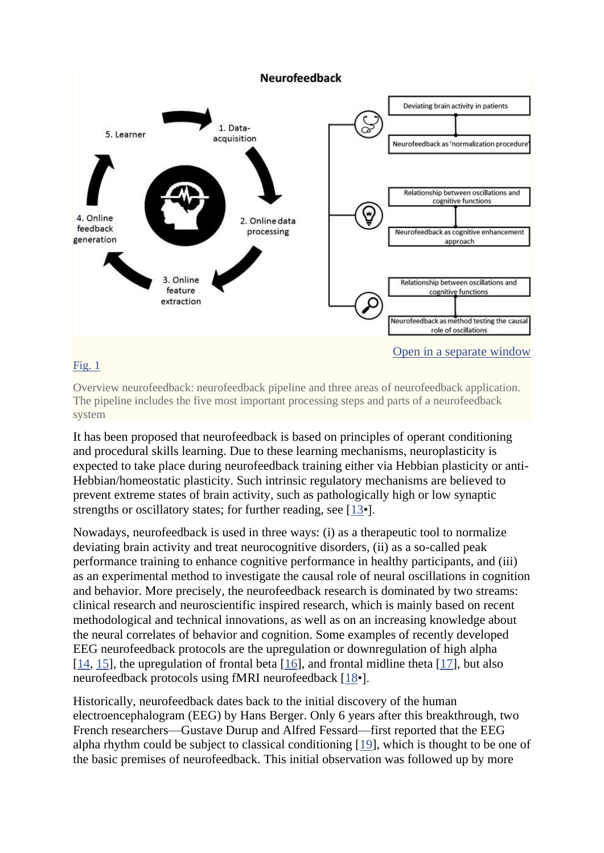

#### [Fig. 1](https://www.ncbi.nlm.nih.gov/pmc/articles/PMC6538574/figure/Fig1/)

Overview neurofeedback: neurofeedback pipeline and three areas of neurofeedback application. The pipeline includes the five most important processing steps and parts of a neurofeedback system

It has been proposed that neurofeedback is based on principles of operant conditioning and procedural skills learning. Due to these learning mechanisms, neuroplasticity is expected to take place during neurofeedback training either via Hebbian plasticity or anti-Hebbian/homeostatic plasticity. Such intrinsic regulatory mechanisms are believed to prevent extreme states of brain activity, such as pathologically high or low synaptic strengths or oscillatory states; for further reading, see [\[13•](https://www.ncbi.nlm.nih.gov/pmc/articles/PMC6538574/#CR13)].

Nowadays, neurofeedback is used in three ways: (i) as a therapeutic tool to normalize deviating brain activity and treat neurocognitive disorders, (ii) as a so-called peak performance training to enhance cognitive performance in healthy participants, and (iii) as an experimental method to investigate the causal role of neural oscillations in cognition and behavior. More precisely, the neurofeedback research is dominated by two streams: clinical research and neuroscientific inspired research, which is mainly based on recent methodological and technical innovations, as well as on an increasing knowledge about the neural correlates of behavior and cognition. Some examples of recently developed EEG neurofeedback protocols are the upregulation or downregulation of high alpha [\[14,](https://www.ncbi.nlm.nih.gov/pmc/articles/PMC6538574/#CR14) [15\]](https://www.ncbi.nlm.nih.gov/pmc/articles/PMC6538574/#CR15), the upregulation of frontal beta [\[16\]](https://www.ncbi.nlm.nih.gov/pmc/articles/PMC6538574/#CR16), and frontal midline theta [\[17\]](https://www.ncbi.nlm.nih.gov/pmc/articles/PMC6538574/#CR17), but also neurofeedback protocols using fMRI neurofeedback [\[18•](https://www.ncbi.nlm.nih.gov/pmc/articles/PMC6538574/#CR18)].

Historically, neurofeedback dates back to the initial discovery of the human electroencephalogram (EEG) by Hans Berger. Only 6 years after this breakthrough, two French researchers—Gustave Durup and Alfred Fessard—first reported that the EEG alpha rhythm could be subject to classical conditioning [\[19\]](https://www.ncbi.nlm.nih.gov/pmc/articles/PMC6538574/#CR19), which is thought to be one of the basic premises of neurofeedback. This initial observation was followed up by more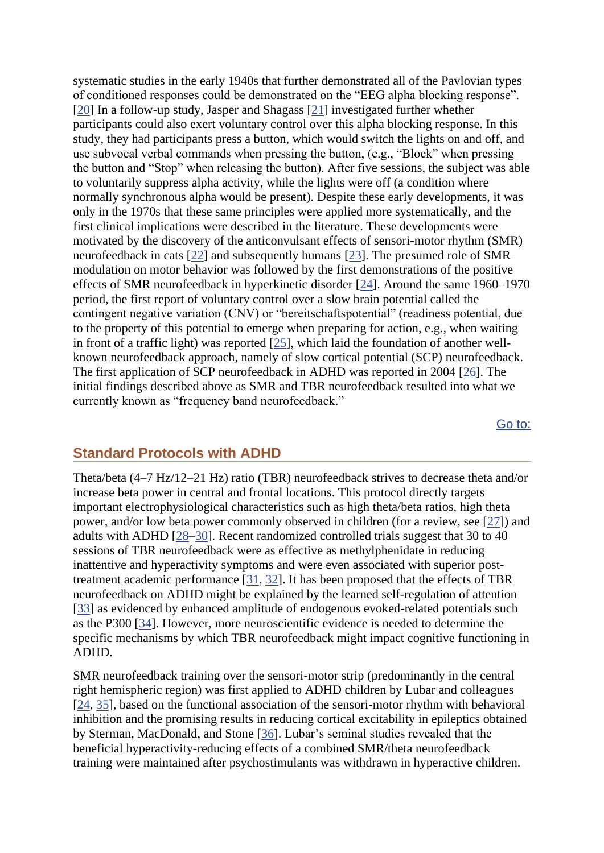systematic studies in the early 1940s that further demonstrated all of the Pavlovian types of conditioned responses could be demonstrated on the "EEG alpha blocking response". [\[20\]](https://www.ncbi.nlm.nih.gov/pmc/articles/PMC6538574/#CR20) In a follow-up study, Jasper and Shagass [\[21\]](https://www.ncbi.nlm.nih.gov/pmc/articles/PMC6538574/#CR21) investigated further whether participants could also exert voluntary control over this alpha blocking response. In this study, they had participants press a button, which would switch the lights on and off, and use subvocal verbal commands when pressing the button, (e.g., "Block" when pressing the button and "Stop" when releasing the button). After five sessions, the subject was able to voluntarily suppress alpha activity, while the lights were off (a condition where normally synchronous alpha would be present). Despite these early developments, it was only in the 1970s that these same principles were applied more systematically, and the first clinical implications were described in the literature. These developments were motivated by the discovery of the anticonvulsant effects of sensori-motor rhythm (SMR) neurofeedback in cats [\[22\]](https://www.ncbi.nlm.nih.gov/pmc/articles/PMC6538574/#CR22) and subsequently humans [\[23\]](https://www.ncbi.nlm.nih.gov/pmc/articles/PMC6538574/#CR23). The presumed role of SMR modulation on motor behavior was followed by the first demonstrations of the positive effects of SMR neurofeedback in hyperkinetic disorder [\[24\]](https://www.ncbi.nlm.nih.gov/pmc/articles/PMC6538574/#CR24). Around the same 1960–1970 period, the first report of voluntary control over a slow brain potential called the contingent negative variation (CNV) or "bereitschaftspotential" (readiness potential, due to the property of this potential to emerge when preparing for action, e.g., when waiting in front of a traffic light) was reported [\[25\]](https://www.ncbi.nlm.nih.gov/pmc/articles/PMC6538574/#CR25), which laid the foundation of another wellknown neurofeedback approach, namely of slow cortical potential (SCP) neurofeedback. The first application of SCP neurofeedback in ADHD was reported in 2004 [\[26\]](https://www.ncbi.nlm.nih.gov/pmc/articles/PMC6538574/#CR26). The initial findings described above as SMR and TBR neurofeedback resulted into what we currently known as "frequency band neurofeedback."

[Go to:](https://www.ncbi.nlm.nih.gov/pmc/articles/PMC6538574/)

#### **Standard Protocols with ADHD**

Theta/beta (4–7 Hz/12–21 Hz) ratio (TBR) neurofeedback strives to decrease theta and/or increase beta power in central and frontal locations. This protocol directly targets important electrophysiological characteristics such as high theta/beta ratios, high theta power, and/or low beta power commonly observed in children (for a review, see [\[27\]](https://www.ncbi.nlm.nih.gov/pmc/articles/PMC6538574/#CR27)) and adults with ADHD [\[28](https://www.ncbi.nlm.nih.gov/pmc/articles/PMC6538574/#CR28)[–30\]](https://www.ncbi.nlm.nih.gov/pmc/articles/PMC6538574/#CR30). Recent randomized controlled trials suggest that 30 to 40 sessions of TBR neurofeedback were as effective as methylphenidate in reducing inattentive and hyperactivity symptoms and were even associated with superior posttreatment academic performance [\[31,](https://www.ncbi.nlm.nih.gov/pmc/articles/PMC6538574/#CR31) [32\]](https://www.ncbi.nlm.nih.gov/pmc/articles/PMC6538574/#CR32). It has been proposed that the effects of TBR neurofeedback on ADHD might be explained by the learned self-regulation of attention [\[33\]](https://www.ncbi.nlm.nih.gov/pmc/articles/PMC6538574/#CR33) as evidenced by enhanced amplitude of endogenous evoked-related potentials such as the P300 [\[34\]](https://www.ncbi.nlm.nih.gov/pmc/articles/PMC6538574/#CR34). However, more neuroscientific evidence is needed to determine the specific mechanisms by which TBR neurofeedback might impact cognitive functioning in ADHD.

SMR neurofeedback training over the sensori-motor strip (predominantly in the central right hemispheric region) was first applied to ADHD children by Lubar and colleagues [\[24,](https://www.ncbi.nlm.nih.gov/pmc/articles/PMC6538574/#CR24) [35\]](https://www.ncbi.nlm.nih.gov/pmc/articles/PMC6538574/#CR35), based on the functional association of the sensori-motor rhythm with behavioral inhibition and the promising results in reducing cortical excitability in epileptics obtained by Sterman, MacDonald, and Stone [\[36\]](https://www.ncbi.nlm.nih.gov/pmc/articles/PMC6538574/#CR36). Lubar's seminal studies revealed that the beneficial hyperactivity-reducing effects of a combined SMR/theta neurofeedback training were maintained after psychostimulants was withdrawn in hyperactive children.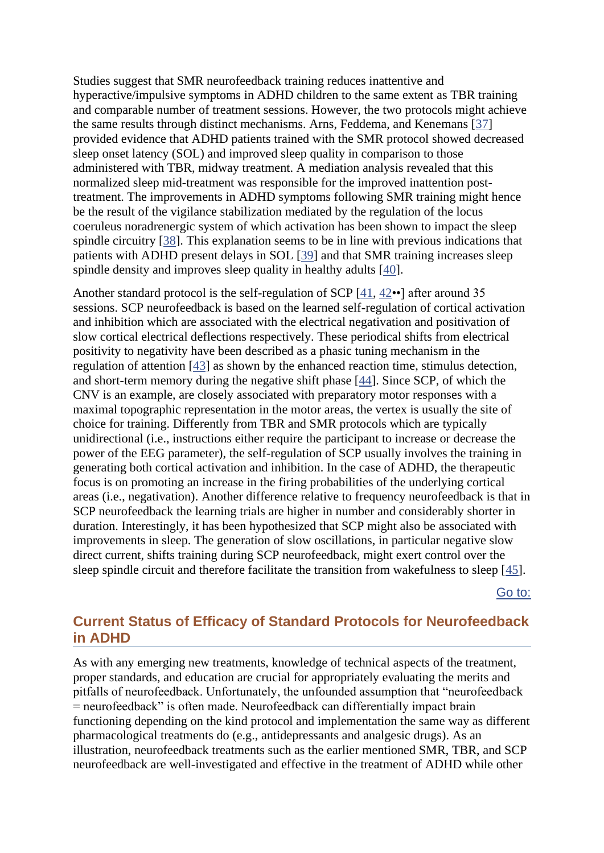Studies suggest that SMR neurofeedback training reduces inattentive and hyperactive/impulsive symptoms in ADHD children to the same extent as TBR training and comparable number of treatment sessions. However, the two protocols might achieve the same results through distinct mechanisms. Arns, Feddema, and Kenemans [\[37\]](https://www.ncbi.nlm.nih.gov/pmc/articles/PMC6538574/#CR37) provided evidence that ADHD patients trained with the SMR protocol showed decreased sleep onset latency (SOL) and improved sleep quality in comparison to those administered with TBR, midway treatment. A mediation analysis revealed that this normalized sleep mid-treatment was responsible for the improved inattention posttreatment. The improvements in ADHD symptoms following SMR training might hence be the result of the vigilance stabilization mediated by the regulation of the locus coeruleus noradrenergic system of which activation has been shown to impact the sleep spindle circuitry [\[38\]](https://www.ncbi.nlm.nih.gov/pmc/articles/PMC6538574/#CR38). This explanation seems to be in line with previous indications that patients with ADHD present delays in SOL [\[39\]](https://www.ncbi.nlm.nih.gov/pmc/articles/PMC6538574/#CR39) and that SMR training increases sleep spindle density and improves sleep quality in healthy adults [\[40\]](https://www.ncbi.nlm.nih.gov/pmc/articles/PMC6538574/#CR40).

Another standard protocol is the self-regulation of SCP [\[41,](https://www.ncbi.nlm.nih.gov/pmc/articles/PMC6538574/#CR41) [42•](https://www.ncbi.nlm.nih.gov/pmc/articles/PMC6538574/#CR42)•] after around 35 sessions. SCP neurofeedback is based on the learned self-regulation of cortical activation and inhibition which are associated with the electrical negativation and positivation of slow cortical electrical deflections respectively. These periodical shifts from electrical positivity to negativity have been described as a phasic tuning mechanism in the regulation of attention [\[43\]](https://www.ncbi.nlm.nih.gov/pmc/articles/PMC6538574/#CR43) as shown by the enhanced reaction time, stimulus detection, and short-term memory during the negative shift phase [\[44\]](https://www.ncbi.nlm.nih.gov/pmc/articles/PMC6538574/#CR44). Since SCP, of which the CNV is an example, are closely associated with preparatory motor responses with a maximal topographic representation in the motor areas, the vertex is usually the site of choice for training. Differently from TBR and SMR protocols which are typically unidirectional (i.e., instructions either require the participant to increase or decrease the power of the EEG parameter), the self-regulation of SCP usually involves the training in generating both cortical activation and inhibition. In the case of ADHD, the therapeutic focus is on promoting an increase in the firing probabilities of the underlying cortical areas (i.e., negativation). Another difference relative to frequency neurofeedback is that in SCP neurofeedback the learning trials are higher in number and considerably shorter in duration. Interestingly, it has been hypothesized that SCP might also be associated with improvements in sleep. The generation of slow oscillations, in particular negative slow direct current, shifts training during SCP neurofeedback, might exert control over the sleep spindle circuit and therefore facilitate the transition from wakefulness to sleep [\[45\]](https://www.ncbi.nlm.nih.gov/pmc/articles/PMC6538574/#CR45).

[Go to:](https://www.ncbi.nlm.nih.gov/pmc/articles/PMC6538574/)

## **Current Status of Efficacy of Standard Protocols for Neurofeedback in ADHD**

As with any emerging new treatments, knowledge of technical aspects of the treatment, proper standards, and education are crucial for appropriately evaluating the merits and pitfalls of neurofeedback. Unfortunately, the unfounded assumption that "neurofeedback = neurofeedback" is often made. Neurofeedback can differentially impact brain functioning depending on the kind protocol and implementation the same way as different pharmacological treatments do (e.g., antidepressants and analgesic drugs). As an illustration, neurofeedback treatments such as the earlier mentioned SMR, TBR, and SCP neurofeedback are well-investigated and effective in the treatment of ADHD while other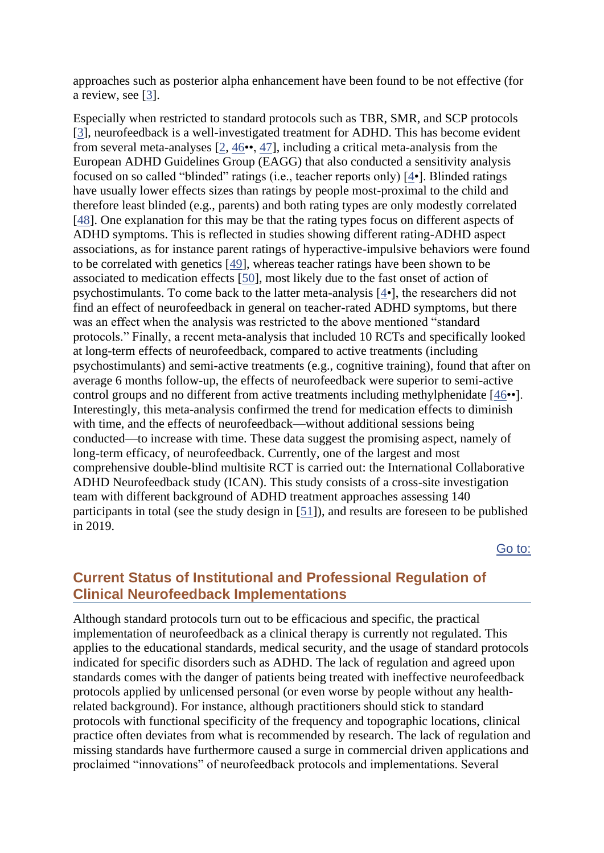approaches such as posterior alpha enhancement have been found to be not effective (for a review, see [\[3\]](https://www.ncbi.nlm.nih.gov/pmc/articles/PMC6538574/#CR3).

Especially when restricted to standard protocols such as TBR, SMR, and SCP protocols [\[3\]](https://www.ncbi.nlm.nih.gov/pmc/articles/PMC6538574/#CR3), neurofeedback is a well-investigated treatment for ADHD. This has become evident from several meta-analyses  $[2, 46 \bullet 47]$  $[2, 46 \bullet 47]$  $[2, 46 \bullet 47]$ , including a critical meta-analysis from the European ADHD Guidelines Group (EAGG) that also conducted a sensitivity analysis focused on so called "blinded" ratings (i.e., teacher reports only) [\[4•](https://www.ncbi.nlm.nih.gov/pmc/articles/PMC6538574/#CR4)]. Blinded ratings have usually lower effects sizes than ratings by people most-proximal to the child and therefore least blinded (e.g., parents) and both rating types are only modestly correlated [\[48\]](https://www.ncbi.nlm.nih.gov/pmc/articles/PMC6538574/#CR48). One explanation for this may be that the rating types focus on different aspects of ADHD symptoms. This is reflected in studies showing different rating-ADHD aspect associations, as for instance parent ratings of hyperactive-impulsive behaviors were found to be correlated with genetics [\[49\]](https://www.ncbi.nlm.nih.gov/pmc/articles/PMC6538574/#CR49), whereas teacher ratings have been shown to be associated to medication effects [\[50\]](https://www.ncbi.nlm.nih.gov/pmc/articles/PMC6538574/#CR50), most likely due to the fast onset of action of psychostimulants. To come back to the latter meta-analysis [\[4•](https://www.ncbi.nlm.nih.gov/pmc/articles/PMC6538574/#CR4)], the researchers did not find an effect of neurofeedback in general on teacher-rated ADHD symptoms, but there was an effect when the analysis was restricted to the above mentioned "standard protocols." Finally, a recent meta-analysis that included 10 RCTs and specifically looked at long-term effects of neurofeedback, compared to active treatments (including psychostimulants) and semi-active treatments (e.g., cognitive training), found that after on average 6 months follow-up, the effects of neurofeedback were superior to semi-active control groups and no different from active treatments including methylphenidate [\[46•](https://www.ncbi.nlm.nih.gov/pmc/articles/PMC6538574/#CR46)•]. Interestingly, this meta-analysis confirmed the trend for medication effects to diminish with time, and the effects of neurofeedback—without additional sessions being conducted—to increase with time. These data suggest the promising aspect, namely of long-term efficacy, of neurofeedback. Currently, one of the largest and most comprehensive double-blind multisite RCT is carried out: the International Collaborative ADHD Neurofeedback study (ICAN). This study consists of a cross-site investigation team with different background of ADHD treatment approaches assessing 140 participants in total (see the study design in [\[51\]](https://www.ncbi.nlm.nih.gov/pmc/articles/PMC6538574/#CR51)), and results are foreseen to be published in 2019.

[Go to:](https://www.ncbi.nlm.nih.gov/pmc/articles/PMC6538574/)

## **Current Status of Institutional and Professional Regulation of Clinical Neurofeedback Implementations**

Although standard protocols turn out to be efficacious and specific, the practical implementation of neurofeedback as a clinical therapy is currently not regulated. This applies to the educational standards, medical security, and the usage of standard protocols indicated for specific disorders such as ADHD. The lack of regulation and agreed upon standards comes with the danger of patients being treated with ineffective neurofeedback protocols applied by unlicensed personal (or even worse by people without any healthrelated background). For instance, although practitioners should stick to standard protocols with functional specificity of the frequency and topographic locations, clinical practice often deviates from what is recommended by research. The lack of regulation and missing standards have furthermore caused a surge in commercial driven applications and proclaimed "innovations" of neurofeedback protocols and implementations. Several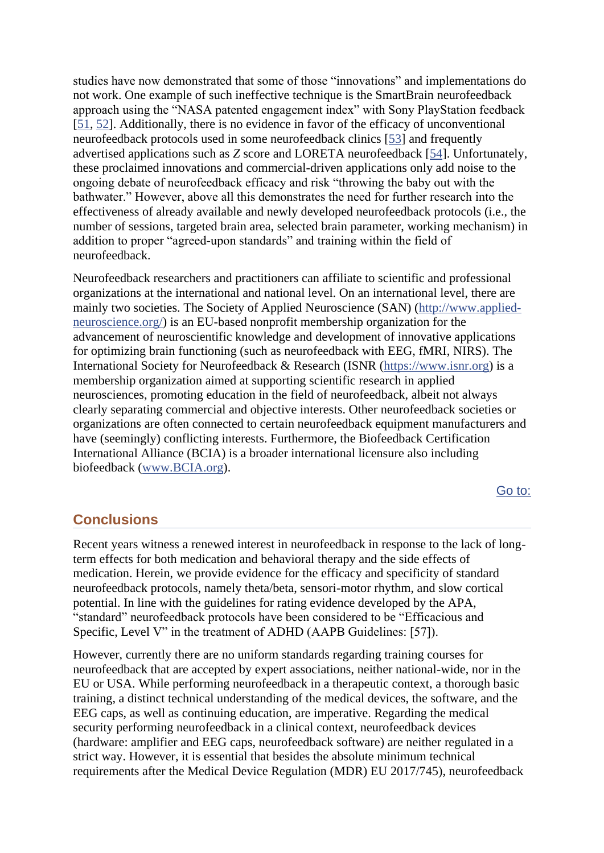studies have now demonstrated that some of those "innovations" and implementations do not work. One example of such ineffective technique is the SmartBrain neurofeedback approach using the "NASA patented engagement index" with Sony PlayStation feedback [\[51,](https://www.ncbi.nlm.nih.gov/pmc/articles/PMC6538574/#CR51) [52\]](https://www.ncbi.nlm.nih.gov/pmc/articles/PMC6538574/#CR52). Additionally, there is no evidence in favor of the efficacy of unconventional neurofeedback protocols used in some neurofeedback clinics [\[53\]](https://www.ncbi.nlm.nih.gov/pmc/articles/PMC6538574/#CR53) and frequently advertised applications such as *Z* score and LORETA neurofeedback [\[54\]](https://www.ncbi.nlm.nih.gov/pmc/articles/PMC6538574/#CR54). Unfortunately, these proclaimed innovations and commercial-driven applications only add noise to the ongoing debate of neurofeedback efficacy and risk "throwing the baby out with the bathwater." However, above all this demonstrates the need for further research into the effectiveness of already available and newly developed neurofeedback protocols (i.e., the number of sessions, targeted brain area, selected brain parameter, working mechanism) in addition to proper "agreed-upon standards" and training within the field of neurofeedback.

Neurofeedback researchers and practitioners can affiliate to scientific and professional organizations at the international and national level. On an international level, there are mainly two societies. The Society of Applied Neuroscience (SAN) [\(http://www.applied](http://www.applied-neuroscience.org/)[neuroscience.org/\)](http://www.applied-neuroscience.org/) is an EU-based nonprofit membership organization for the advancement of neuroscientific knowledge and development of innovative applications for optimizing brain functioning (such as neurofeedback with EEG, fMRI, NIRS). The International Society for Neurofeedback & Research (ISNR [\(https://www.isnr.org\)](https://www.isnr.org/) is a membership organization aimed at supporting scientific research in applied neurosciences, promoting education in the field of neurofeedback, albeit not always clearly separating commercial and objective interests. Other neurofeedback societies or organizations are often connected to certain neurofeedback equipment manufacturers and have (seemingly) conflicting interests. Furthermore, the Biofeedback Certification International Alliance (BCIA) is a broader international licensure also including biofeedback [\(www.BCIA.org\)](http://www.bcia.org/).

[Go to:](https://www.ncbi.nlm.nih.gov/pmc/articles/PMC6538574/)

#### **Conclusions**

Recent years witness a renewed interest in neurofeedback in response to the lack of longterm effects for both medication and behavioral therapy and the side effects of medication. Herein, we provide evidence for the efficacy and specificity of standard neurofeedback protocols, namely theta/beta, sensori-motor rhythm, and slow cortical potential. In line with the guidelines for rating evidence developed by the APA, "standard" neurofeedback protocols have been considered to be "Efficacious and Specific, Level V" in the treatment of ADHD (AAPB Guidelines: [57]).

However, currently there are no uniform standards regarding training courses for neurofeedback that are accepted by expert associations, neither national-wide, nor in the EU or USA. While performing neurofeedback in a therapeutic context, a thorough basic training, a distinct technical understanding of the medical devices, the software, and the EEG caps, as well as continuing education, are imperative. Regarding the medical security performing neurofeedback in a clinical context, neurofeedback devices (hardware: amplifier and EEG caps, neurofeedback software) are neither regulated in a strict way. However, it is essential that besides the absolute minimum technical requirements after the Medical Device Regulation (MDR) EU 2017/745), neurofeedback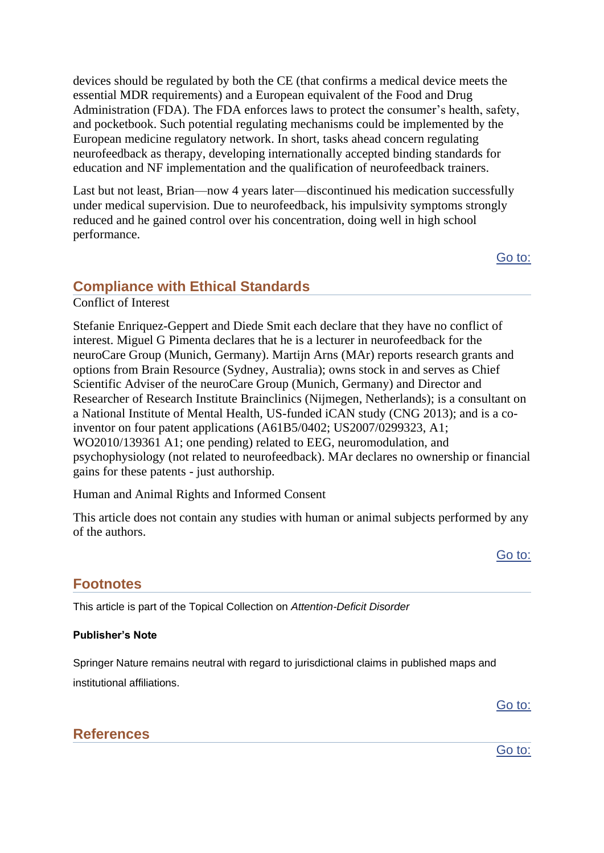devices should be regulated by both the CE (that confirms a medical device meets the essential MDR requirements) and a European equivalent of the Food and Drug Administration (FDA). The FDA enforces laws to protect the consumer's health, safety, and pocketbook. Such potential regulating mechanisms could be implemented by the European medicine regulatory network. In short, tasks ahead concern regulating neurofeedback as therapy, developing internationally accepted binding standards for education and NF implementation and the qualification of neurofeedback trainers.

Last but not least, Brian—now 4 years later—discontinued his medication successfully under medical supervision. Due to neurofeedback, his impulsivity symptoms strongly reduced and he gained control over his concentration, doing well in high school performance.

[Go to:](https://www.ncbi.nlm.nih.gov/pmc/articles/PMC6538574/)

### **Compliance with Ethical Standards**

Conflict of Interest

Stefanie Enriquez-Geppert and Diede Smit each declare that they have no conflict of interest. Miguel G Pimenta declares that he is a lecturer in neurofeedback for the neuroCare Group (Munich, Germany). Martijn Arns (MAr) reports research grants and options from Brain Resource (Sydney, Australia); owns stock in and serves as Chief Scientific Adviser of the neuroCare Group (Munich, Germany) and Director and Researcher of Research Institute Brainclinics (Nijmegen, Netherlands); is a consultant on a National Institute of Mental Health, US-funded iCAN study (CNG 2013); and is a coinventor on four patent applications (A61B5/0402; US2007/0299323, A1; WO2010/139361 A1; one pending) related to EEG, neuromodulation, and psychophysiology (not related to neurofeedback). MAr declares no ownership or financial gains for these patents - just authorship.

Human and Animal Rights and Informed Consent

This article does not contain any studies with human or animal subjects performed by any of the authors.

**Footnotes**

This article is part of the Topical Collection on *Attention-Deficit Disorder*

#### **Publisher's Note**

Springer Nature remains neutral with regard to jurisdictional claims in published maps and institutional affiliations.

[Go to:](https://www.ncbi.nlm.nih.gov/pmc/articles/PMC6538574/)

[Go to:](https://www.ncbi.nlm.nih.gov/pmc/articles/PMC6538574/)

## **References**

[Go to:](https://www.ncbi.nlm.nih.gov/pmc/articles/PMC6538574/)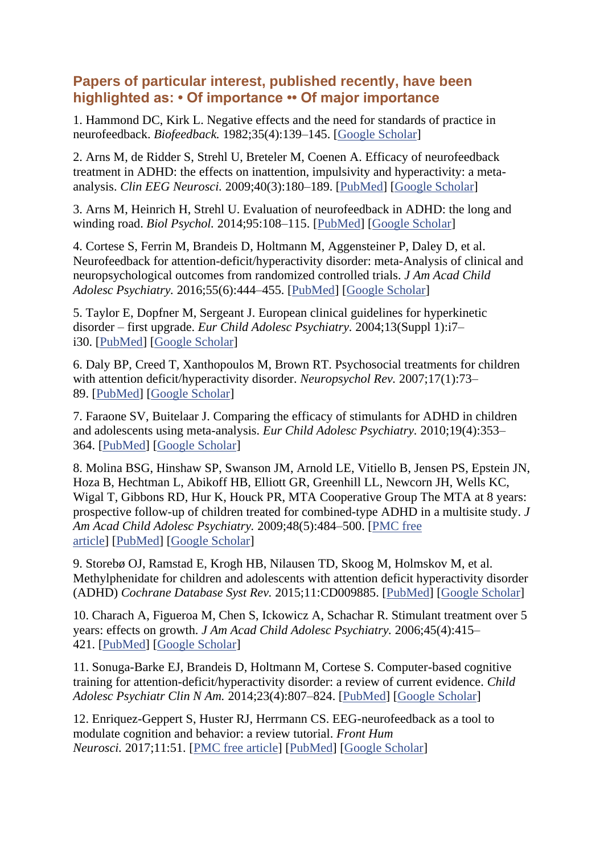## **Papers of particular interest, published recently, have been highlighted as: • Of importance •• Of major importance**

1. Hammond DC, Kirk L. Negative effects and the need for standards of practice in neurofeedback. *Biofeedback.* 1982;35(4):139–145. [\[Google Scholar\]](https://scholar.google.com/scholar_lookup?journal=Biofeedback.&title=Negative+effects+and+the+need+for+standards+of+practice+in+neurofeedback&author=DC+Hammond&author=L+Kirk&volume=35&issue=4&publication_year=1982&pages=139-145&)

2. Arns M, de Ridder S, Strehl U, Breteler M, Coenen A. Efficacy of neurofeedback treatment in ADHD: the effects on inattention, impulsivity and hyperactivity: a metaanalysis. *Clin EEG Neurosci.* 2009;40(3):180–189. [\[PubMed\]](https://www.ncbi.nlm.nih.gov/pubmed/19715181) [\[Google Scholar\]](https://scholar.google.com/scholar_lookup?journal=Clin+EEG+Neurosci&title=Efficacy+of+neurofeedback+treatment+in+ADHD:+the+effects+on+inattention,+impulsivity+and+hyperactivity:+a+meta-analysis&author=M+Arns&author=S+de+Ridder&author=U+Strehl&author=M+Breteler&author=A+Coenen&volume=40&issue=3&publication_year=2009&pages=180-189&pmid=19715181&)

3. Arns M, Heinrich H, Strehl U. Evaluation of neurofeedback in ADHD: the long and winding road. *Biol Psychol.* 2014;95:108–115. [\[PubMed\]](https://www.ncbi.nlm.nih.gov/pubmed/24321363) [\[Google Scholar\]](https://scholar.google.com/scholar_lookup?journal=Biol+Psychol&title=Evaluation+of+neurofeedback+in+ADHD:+the+long+and+winding+road&author=M+Arns&author=H+Heinrich&author=U+Strehl&volume=95&publication_year=2014&pages=108-115&pmid=24321363&)

4. Cortese S, Ferrin M, Brandeis D, Holtmann M, Aggensteiner P, Daley D, et al. Neurofeedback for attention-deficit/hyperactivity disorder: meta-Analysis of clinical and neuropsychological outcomes from randomized controlled trials. *J Am Acad Child Adolesc Psychiatry.* 2016;55(6):444–455. [\[PubMed\]](https://www.ncbi.nlm.nih.gov/pubmed/27238063) [\[Google Scholar\]](https://scholar.google.com/scholar_lookup?journal=J+Am+Acad+Child+Adolesc+Psychiatry&title=Neurofeedback+for+attention-deficit/hyperactivity+disorder:+meta-Analysis+of+clinical+and+neuropsychological+outcomes+from+randomized+controlled+trials&author=S+Cortese&author=M+Ferrin&author=D+Brandeis&author=M+Holtmann&author=P+Aggensteiner&volume=55&issue=6&publication_year=2016&pages=444-455&pmid=27238063&)

5. Taylor E, Dopfner M, Sergeant J. European clinical guidelines for hyperkinetic disorder – first upgrade. *Eur Child Adolesc Psychiatry.* 2004;13(Suppl 1):i7– i30. [\[PubMed\]](https://www.ncbi.nlm.nih.gov/pubmed/15322953) [\[Google Scholar\]](https://scholar.google.com/scholar_lookup?journal=Eur+Child+Adolesc+Psychiatry&title=European+clinical+guidelines+for+hyperkinetic+disorder+%E2%80%93+first+upgrade&author=E+Taylor&author=M+Dopfner&author=J+Sergeant&volume=13&issue=Suppl+1&publication_year=2004&pages=i7-i30&pmid=15322953&)

6. Daly BP, Creed T, Xanthopoulos M, Brown RT. Psychosocial treatments for children with attention deficit/hyperactivity disorder. *Neuropsychol Rev.* 2007;17(1):73– 89. [\[PubMed\]](https://www.ncbi.nlm.nih.gov/pubmed/17260167) [\[Google Scholar\]](https://scholar.google.com/scholar_lookup?journal=Neuropsychol+Rev&title=Psychosocial+treatments+for+children+with+attention+deficit/hyperactivity+disorder&author=BP+Daly&author=T+Creed&author=M+Xanthopoulos&author=RT+Brown&volume=17&issue=1&publication_year=2007&pages=73-89&pmid=17260167&)

7. Faraone SV, Buitelaar J. Comparing the efficacy of stimulants for ADHD in children and adolescents using meta-analysis. *Eur Child Adolesc Psychiatry.* 2010;19(4):353– 364. [\[PubMed\]](https://www.ncbi.nlm.nih.gov/pubmed/19763664) [\[Google Scholar\]](https://scholar.google.com/scholar_lookup?journal=Eur+Child+Adolesc+Psychiatry&title=Comparing+the+efficacy+of+stimulants+for+ADHD+in+children+and+adolescents+using+meta-analysis&author=SV+Faraone&author=J+Buitelaar&volume=19&issue=4&publication_year=2010&pages=353-364&pmid=19763664&)

8. Molina BSG, Hinshaw SP, Swanson JM, Arnold LE, Vitiello B, Jensen PS, Epstein JN, Hoza B, Hechtman L, Abikoff HB, Elliott GR, Greenhill LL, Newcorn JH, Wells KC, Wigal T, Gibbons RD, Hur K, Houck PR, MTA Cooperative Group The MTA at 8 years: prospective follow-up of children treated for combined-type ADHD in a multisite study. *J Am Acad Child Adolesc Psychiatry.* 2009;48(5):484–500. [\[PMC free](https://www.ncbi.nlm.nih.gov/pmc/articles/PMC3063150/)  [article\]](https://www.ncbi.nlm.nih.gov/pmc/articles/PMC3063150/) [\[PubMed\]](https://www.ncbi.nlm.nih.gov/pubmed/19318991) [\[Google Scholar\]](https://scholar.google.com/scholar_lookup?journal=J+Am+Acad+Child+Adolesc+Psychiatry&title=The+MTA+at+8+years:+prospective+follow-up+of+children+treated+for+combined-type+ADHD+in+a+multisite+study&author=BSG+Molina&author=SP+Hinshaw&author=JM+Swanson&author=LE+Arnold&author=B+Vitiello&volume=48&issue=5&publication_year=2009&pages=484-500&pmid=19318991&)

9. Storebø OJ, Ramstad E, Krogh HB, Nilausen TD, Skoog M, Holmskov M, et al. Methylphenidate for children and adolescents with attention deficit hyperactivity disorder (ADHD) *Cochrane Database Syst Rev.* 2015;11:CD009885. [\[PubMed\]](https://www.ncbi.nlm.nih.gov/pubmed/26599576) [\[Google Scholar\]](https://scholar.google.com/scholar_lookup?journal=Cochrane+Database+Syst+Rev&title=Methylphenidate+for+children+and+adolescents+with+attention+deficit+hyperactivity+disorder+(ADHD)&author=OJ+Storeb%C3%B8&author=E+Ramstad&author=HB+Krogh&author=TD+Nilausen&author=M+Skoog&volume=11&publication_year=2015&pages=CD009885&)

10. Charach A, Figueroa M, Chen S, Ickowicz A, Schachar R. Stimulant treatment over 5 years: effects on growth. *J Am Acad Child Adolesc Psychiatry.* 2006;45(4):415– 421. [\[PubMed\]](https://www.ncbi.nlm.nih.gov/pubmed/16601646) [\[Google Scholar\]](https://scholar.google.com/scholar_lookup?journal=J+Am+Acad+Child+Adolesc+Psychiatry&title=Stimulant+treatment+over+5+years:+effects+on+growth&author=A+Charach&author=M+Figueroa&author=S+Chen&author=A+Ickowicz&author=R+Schachar&volume=45&issue=4&publication_year=2006&pages=415-421&pmid=16601646&)

11. Sonuga-Barke EJ, Brandeis D, Holtmann M, Cortese S. Computer-based cognitive training for attention-deficit/hyperactivity disorder: a review of current evidence. *Child Adolesc Psychiatr Clin N Am.* 2014;23(4):807–824. [\[PubMed\]](https://www.ncbi.nlm.nih.gov/pubmed/25220088) [\[Google Scholar\]](https://scholar.google.com/scholar_lookup?journal=Child+Adolesc+Psychiatr+Clin+N+Am&title=Computer-based+cognitive+training+for+attention-deficit/hyperactivity+disorder:+a+review+of+current+evidence&author=EJ+Sonuga-Barke&author=D+Brandeis&author=M+Holtmann&author=S+Cortese&volume=23&issue=4&publication_year=2014&pages=807-824&pmid=25220088&)

12. Enriquez-Geppert S, Huster RJ, Herrmann CS. EEG-neurofeedback as a tool to modulate cognition and behavior: a review tutorial. *Front Hum Neurosci.* 2017;11:51. [\[PMC free article\]](https://www.ncbi.nlm.nih.gov/pmc/articles/PMC5319996/) [\[PubMed\]](https://www.ncbi.nlm.nih.gov/pubmed/28275344) [\[Google Scholar\]](https://scholar.google.com/scholar_lookup?journal=Front+Hum+Neurosci&title=EEG-neurofeedback+as+a+tool+to+modulate+cognition+and+behavior:+a+review+tutorial&author=S+Enriquez-Geppert&author=RJ+Huster&author=CS+Herrmann&volume=11&publication_year=2017&pages=51&pmid=28275344&)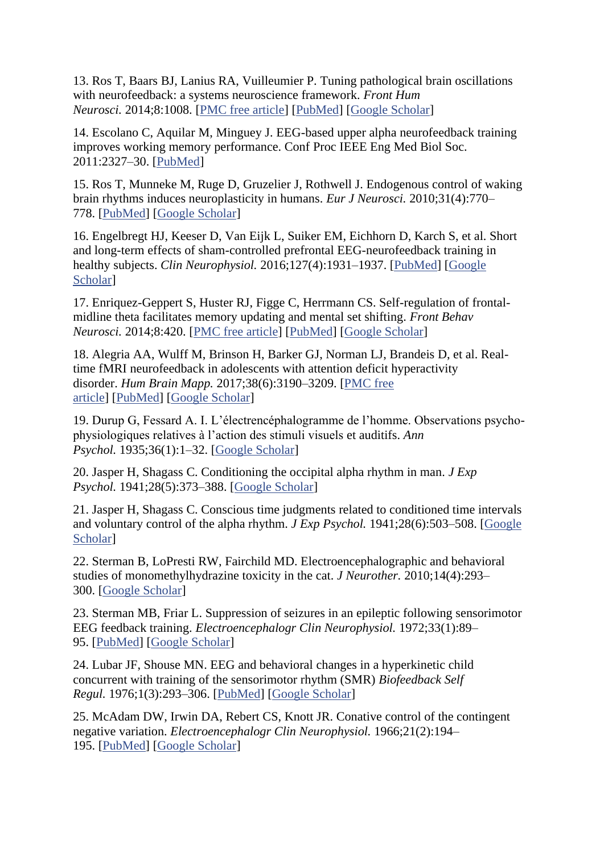13. Ros T, Baars BJ, Lanius RA, Vuilleumier P. Tuning pathological brain oscillations with neurofeedback: a systems neuroscience framework. *Front Hum Neurosci.* 2014;8:1008. [\[PMC free article\]](https://www.ncbi.nlm.nih.gov/pmc/articles/PMC4270171/) [\[PubMed\]](https://www.ncbi.nlm.nih.gov/pubmed/25566028) [\[Google Scholar\]](https://scholar.google.com/scholar_lookup?journal=Front+Hum+Neurosci&title=Tuning+pathological+brain+oscillations+with+neurofeedback:+a+systems+neuroscience+framework&author=T+Ros&author=BJ+Baars&author=RA+Lanius&author=P+Vuilleumier&volume=8&publication_year=2014&pages=1008&pmid=25566028&)

14. Escolano C, Aquilar M, Minguey J. EEG-based upper alpha neurofeedback training improves working memory performance. Conf Proc IEEE Eng Med Biol Soc. 2011:2327–30. [\[PubMed\]](https://www.ncbi.nlm.nih.gov/pubmed/22254807)

15. Ros T, Munneke M, Ruge D, Gruzelier J, Rothwell J. Endogenous control of waking brain rhythms induces neuroplasticity in humans. *Eur J Neurosci.* 2010;31(4):770– 778. [\[PubMed\]](https://www.ncbi.nlm.nih.gov/pubmed/20384819) [\[Google Scholar\]](https://scholar.google.com/scholar_lookup?journal=Eur+J+Neurosci&title=Endogenous+control+of+waking+brain+rhythms+induces+neuroplasticity+in+humans&author=T+Ros&author=M+Munneke&author=D+Ruge&author=J+Gruzelier&author=J+Rothwell&volume=31&issue=4&publication_year=2010&pages=770-778&pmid=20384819&)

16. Engelbregt HJ, Keeser D, Van Eijk L, Suiker EM, Eichhorn D, Karch S, et al. Short and long-term effects of sham-controlled prefrontal EEG-neurofeedback training in healthy subjects. *Clin Neurophysiol.* 2016;127(4):1931–1937. [\[PubMed\]](https://www.ncbi.nlm.nih.gov/pubmed/26971473) [\[Google](https://scholar.google.com/scholar_lookup?journal=Clin+Neurophysiol&title=Short+and+long-term+effects+of+sham-controlled+prefrontal+EEG-neurofeedback+training+in+healthy+subjects&author=HJ+Engelbregt&author=D+Keeser&author=L+Van+Eijk&author=EM+Suiker&author=D+Eichhorn&volume=127&issue=4&publication_year=2016&pages=1931-1937&pmid=26971473&)  [Scholar\]](https://scholar.google.com/scholar_lookup?journal=Clin+Neurophysiol&title=Short+and+long-term+effects+of+sham-controlled+prefrontal+EEG-neurofeedback+training+in+healthy+subjects&author=HJ+Engelbregt&author=D+Keeser&author=L+Van+Eijk&author=EM+Suiker&author=D+Eichhorn&volume=127&issue=4&publication_year=2016&pages=1931-1937&pmid=26971473&)

17. Enriquez-Geppert S, Huster RJ, Figge C, Herrmann CS. Self-regulation of frontalmidline theta facilitates memory updating and mental set shifting. *Front Behav Neurosci.* 2014;8:420. [\[PMC free article\]](https://www.ncbi.nlm.nih.gov/pmc/articles/PMC4257088/) [\[PubMed\]](https://www.ncbi.nlm.nih.gov/pubmed/25538585) [\[Google Scholar\]](https://scholar.google.com/scholar_lookup?journal=Front+Behav+Neurosci&title=Self-regulation+of+frontal-midline+theta+facilitates+memory+updating+and+mental+set+shifting&author=S+Enriquez-Geppert&author=RJ+Huster&author=C+Figge&author=CS+Herrmann&volume=8&publication_year=2014&pages=420&pmid=25538585&)

18. Alegria AA, Wulff M, Brinson H, Barker GJ, Norman LJ, Brandeis D, et al. Realtime fMRI neurofeedback in adolescents with attention deficit hyperactivity disorder. *Hum Brain Mapp.* 2017;38(6):3190–3209. [\[PMC free](https://www.ncbi.nlm.nih.gov/pmc/articles/PMC5434828/)  [article\]](https://www.ncbi.nlm.nih.gov/pmc/articles/PMC5434828/) [\[PubMed\]](https://www.ncbi.nlm.nih.gov/pubmed/28342214) [\[Google Scholar\]](https://scholar.google.com/scholar_lookup?journal=Hum+Brain+Mapp&title=Real-time+fMRI+neurofeedback+in+adolescents+with+attention+deficit+hyperactivity+disorder&author=AA+Alegria&author=M+Wulff&author=H+Brinson&author=GJ+Barker&author=LJ+Norman&volume=38&issue=6&publication_year=2017&pages=3190-3209&pmid=28342214&)

19. Durup G, Fessard A. I. L'électrencéphalogramme de l'homme. Observations psychophysiologiques relatives à l'action des stimuli visuels et auditifs. *Ann Psychol.* 1935;36(1):1–32. [\[Google Scholar\]](https://scholar.google.com/scholar_lookup?journal=Ann+Psychol&title=I.+L%E2%80%99%C3%A9lectrenc%C3%A9phalogramme+de+l%E2%80%99homme.+Observations+psycho-physiologiques+relatives+%C3%A0+l%E2%80%99action+des+stimuli+visuels+et+auditifs&author=G+Durup&author=A+Fessard&volume=36&issue=1&publication_year=1935&pages=1-32&)

20. Jasper H, Shagass C. Conditioning the occipital alpha rhythm in man. *J Exp Psychol.* 1941;28(5):373–388. [\[Google Scholar\]](https://scholar.google.com/scholar_lookup?journal=J+Exp+Psychol&title=Conditioning+the+occipital+alpha+rhythm+in+man&author=H+Jasper&author=C+Shagass&volume=28&issue=5&publication_year=1941&pages=373-388&)

21. Jasper H, Shagass C. Conscious time judgments related to conditioned time intervals and voluntary control of the alpha rhythm. *J Exp Psychol.* 1941;28(6):503–508. [\[Google](https://scholar.google.com/scholar_lookup?journal=J+Exp+Psychol&title=Conscious+time+judgments+related+to+conditioned+time+intervals+and+voluntary+control+of+the+alpha+rhythm&author=H+Jasper&author=C+Shagass&volume=28&issue=6&publication_year=1941&pages=503-508&)  [Scholar\]](https://scholar.google.com/scholar_lookup?journal=J+Exp+Psychol&title=Conscious+time+judgments+related+to+conditioned+time+intervals+and+voluntary+control+of+the+alpha+rhythm&author=H+Jasper&author=C+Shagass&volume=28&issue=6&publication_year=1941&pages=503-508&)

22. Sterman B, LoPresti RW, Fairchild MD. Electroencephalographic and behavioral studies of monomethylhydrazine toxicity in the cat. *J Neurother.* 2010;14(4):293– 300. [\[Google Scholar\]](https://scholar.google.com/scholar_lookup?journal=J+Neurother&title=Electroencephalographic+and+behavioral+studies+of+monomethylhydrazine+toxicity+in+the+cat&author=B+Sterman&author=RW+LoPresti&author=MD+Fairchild&volume=14&issue=4&publication_year=2010&pages=293-300&)

23. Sterman MB, Friar L. Suppression of seizures in an epileptic following sensorimotor EEG feedback training. *Electroencephalogr Clin Neurophysiol.* 1972;33(1):89– 95. [\[PubMed\]](https://www.ncbi.nlm.nih.gov/pubmed/4113278) [\[Google Scholar\]](https://scholar.google.com/scholar_lookup?journal=Electroencephalogr+Clin+Neurophysiol&title=Suppression+of+seizures+in+an+epileptic+following+sensorimotor+EEG+feedback+training&author=MB+Sterman&author=L+Friar&volume=33&issue=1&publication_year=1972&pages=89-95&pmid=4113278&)

24. Lubar JF, Shouse MN. EEG and behavioral changes in a hyperkinetic child concurrent with training of the sensorimotor rhythm (SMR) *Biofeedback Self Regul.* 1976;1(3):293–306. [\[PubMed\]](https://www.ncbi.nlm.nih.gov/pubmed/990355) [\[Google Scholar\]](https://scholar.google.com/scholar_lookup?journal=Biofeedback+Self+Regul&title=EEG+and+behavioral+changes+in+a+hyperkinetic+child+concurrent+with+training+of+the+sensorimotor+rhythm+(SMR)&author=JF+Lubar&author=MN+Shouse&volume=1&issue=3&publication_year=1976&pages=293-306&pmid=990355&)

25. McAdam DW, Irwin DA, Rebert CS, Knott JR. Conative control of the contingent negative variation. *Electroencephalogr Clin Neurophysiol.* 1966;21(2):194– 195. [\[PubMed\]](https://www.ncbi.nlm.nih.gov/pubmed/4162012) [\[Google Scholar\]](https://scholar.google.com/scholar_lookup?journal=Electroencephalogr+Clin+Neurophysiol&title=Conative+control+of+the+contingent+negative+variation&author=DW+McAdam&author=DA+Irwin&author=CS+Rebert&author=JR+Knott&volume=21&issue=2&publication_year=1966&pages=194-195&pmid=4162012&)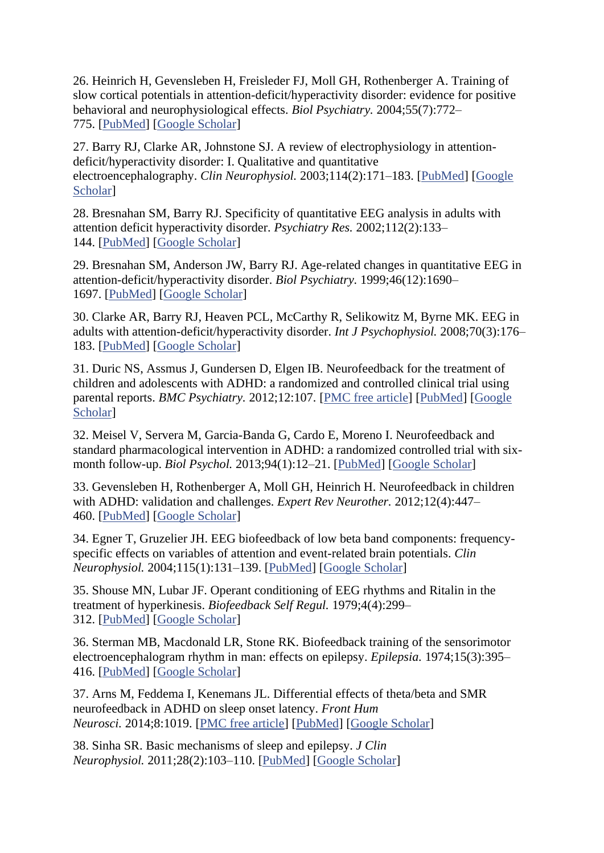26. Heinrich H, Gevensleben H, Freisleder FJ, Moll GH, Rothenberger A. Training of slow cortical potentials in attention-deficit/hyperactivity disorder: evidence for positive behavioral and neurophysiological effects. *Biol Psychiatry.* 2004;55(7):772– 775. [\[PubMed\]](https://www.ncbi.nlm.nih.gov/pubmed/15039008) [\[Google Scholar\]](https://scholar.google.com/scholar_lookup?journal=Biol+Psychiatry&title=Training+of+slow+cortical+potentials+in+attention-deficit/hyperactivity+disorder:+evidence+for+positive+behavioral+and+neurophysiological+effects&author=H+Heinrich&author=H+Gevensleben&author=FJ+Freisleder&author=GH+Moll&author=A+Rothenberger&volume=55&issue=7&publication_year=2004&pages=772-775&pmid=15039008&)

27. Barry RJ, Clarke AR, Johnstone SJ. A review of electrophysiology in attentiondeficit/hyperactivity disorder: I. Qualitative and quantitative electroencephalography. *Clin Neurophysiol.* 2003;114(2):171–183. [\[PubMed\]](https://www.ncbi.nlm.nih.gov/pubmed/12559224) [\[Google](https://scholar.google.com/scholar_lookup?journal=Clin+Neurophysiol&title=A+review+of+electrophysiology+in+attention-deficit/hyperactivity+disorder:+I.+Qualitative+and+quantitative+electroencephalography&author=RJ+Barry&author=AR+Clarke&author=SJ+Johnstone&volume=114&issue=2&publication_year=2003&pages=171-183&pmid=12559224&)  [Scholar\]](https://scholar.google.com/scholar_lookup?journal=Clin+Neurophysiol&title=A+review+of+electrophysiology+in+attention-deficit/hyperactivity+disorder:+I.+Qualitative+and+quantitative+electroencephalography&author=RJ+Barry&author=AR+Clarke&author=SJ+Johnstone&volume=114&issue=2&publication_year=2003&pages=171-183&pmid=12559224&)

28. Bresnahan SM, Barry RJ. Specificity of quantitative EEG analysis in adults with attention deficit hyperactivity disorder. *Psychiatry Res.* 2002;112(2):133– 144. [\[PubMed\]](https://www.ncbi.nlm.nih.gov/pubmed/12429359) [\[Google Scholar\]](https://scholar.google.com/scholar_lookup?journal=Psychiatry+Res&title=Specificity+of+quantitative+EEG+analysis+in+adults+with+attention+deficit+hyperactivity+disorder&author=SM+Bresnahan&author=RJ+Barry&volume=112&issue=2&publication_year=2002&pages=133-144&pmid=12429359&)

29. Bresnahan SM, Anderson JW, Barry RJ. Age-related changes in quantitative EEG in attention-deficit/hyperactivity disorder. *Biol Psychiatry.* 1999;46(12):1690– 1697. [\[PubMed\]](https://www.ncbi.nlm.nih.gov/pubmed/10624551) [\[Google Scholar\]](https://scholar.google.com/scholar_lookup?journal=Biol+Psychiatry&title=Age-related+changes+in+quantitative+EEG+in+attention-deficit/hyperactivity+disorder&author=SM+Bresnahan&author=JW+Anderson&author=RJ+Barry&volume=46&issue=12&publication_year=1999&pages=1690-1697&pmid=10624551&)

30. Clarke AR, Barry RJ, Heaven PCL, McCarthy R, Selikowitz M, Byrne MK. EEG in adults with attention-deficit/hyperactivity disorder. *Int J Psychophysiol.* 2008;70(3):176– 183. [\[PubMed\]](https://www.ncbi.nlm.nih.gov/pubmed/18662727) [\[Google Scholar\]](https://scholar.google.com/scholar_lookup?journal=Int+J+Psychophysiol&title=EEG+in+adults+with+attention-deficit/hyperactivity+disorder&author=AR+Clarke&author=RJ+Barry&author=PCL+Heaven&author=R+McCarthy&author=M+Selikowitz&volume=70&issue=3&publication_year=2008&pages=176-183&pmid=18662727&)

31. Duric NS, Assmus J, Gundersen D, Elgen IB. Neurofeedback for the treatment of children and adolescents with ADHD: a randomized and controlled clinical trial using parental reports. *BMC Psychiatry.* 2012;12:107. [\[PMC free article\]](https://www.ncbi.nlm.nih.gov/pmc/articles/PMC3441233/) [\[PubMed\]](https://www.ncbi.nlm.nih.gov/pubmed/22877086) [\[Google](https://scholar.google.com/scholar_lookup?journal=BMC+Psychiatry&title=Neurofeedback+for+the+treatment+of+children+and+adolescents+with+ADHD:+a+randomized+and+controlled+clinical+trial+using+parental+reports&author=NS+Duric&author=J+Assmus&author=D+Gundersen&author=IB+Elgen&volume=12&publication_year=2012&pages=107&pmid=22877086&)  [Scholar\]](https://scholar.google.com/scholar_lookup?journal=BMC+Psychiatry&title=Neurofeedback+for+the+treatment+of+children+and+adolescents+with+ADHD:+a+randomized+and+controlled+clinical+trial+using+parental+reports&author=NS+Duric&author=J+Assmus&author=D+Gundersen&author=IB+Elgen&volume=12&publication_year=2012&pages=107&pmid=22877086&)

32. Meisel V, Servera M, Garcia-Banda G, Cardo E, Moreno I. Neurofeedback and standard pharmacological intervention in ADHD: a randomized controlled trial with sixmonth follow-up. *Biol Psychol.* 2013;94(1):12–21. [\[PubMed\]](https://www.ncbi.nlm.nih.gov/pubmed/23665196) [\[Google Scholar\]](https://scholar.google.com/scholar_lookup?journal=Biol+Psychol&title=Neurofeedback+and+standard+pharmacological+intervention+in+ADHD:+a+randomized+controlled+trial+with+six-month+follow-up&author=V+Meisel&author=M+Servera&author=G+Garcia-Banda&author=E+Cardo&author=I+Moreno&volume=94&issue=1&publication_year=2013&pages=12-21&pmid=23665196&)

33. Gevensleben H, Rothenberger A, Moll GH, Heinrich H. Neurofeedback in children with ADHD: validation and challenges. *Expert Rev Neurother.* 2012;12(4):447– 460. [\[PubMed\]](https://www.ncbi.nlm.nih.gov/pubmed/22449216) [\[Google Scholar\]](https://scholar.google.com/scholar_lookup?journal=Expert+Rev+Neurother&title=Neurofeedback+in+children+with+ADHD:+validation+and+challenges&author=H+Gevensleben&author=A+Rothenberger&author=GH+Moll&author=H+Heinrich&volume=12&issue=4&publication_year=2012&pages=447-460&pmid=22449216&)

34. Egner T, Gruzelier JH. EEG biofeedback of low beta band components: frequencyspecific effects on variables of attention and event-related brain potentials. *Clin Neurophysiol.* 2004;115(1):131–139. [\[PubMed\]](https://www.ncbi.nlm.nih.gov/pubmed/14706480) [\[Google Scholar\]](https://scholar.google.com/scholar_lookup?journal=Clin+Neurophysiol&title=EEG+biofeedback+of+low+beta+band+components:+frequency-specific+effects+on+variables+of+attention+and+event-related+brain+potentials&author=T+Egner&author=JH+Gruzelier&volume=115&issue=1&publication_year=2004&pages=131-139&pmid=14706480&)

35. Shouse MN, Lubar JF. Operant conditioning of EEG rhythms and Ritalin in the treatment of hyperkinesis. *Biofeedback Self Regul.* 1979;4(4):299– 312. [\[PubMed\]](https://www.ncbi.nlm.nih.gov/pubmed/526475) [\[Google Scholar\]](https://scholar.google.com/scholar_lookup?journal=Biofeedback+Self+Regul&title=Operant+conditioning+of+EEG+rhythms+and+Ritalin+in+the+treatment+of+hyperkinesis&author=MN+Shouse&author=JF+Lubar&volume=4&issue=4&publication_year=1979&pages=299-312&pmid=526475&)

36. Sterman MB, Macdonald LR, Stone RK. Biofeedback training of the sensorimotor electroencephalogram rhythm in man: effects on epilepsy. *Epilepsia.* 1974;15(3):395– 416. [\[PubMed\]](https://www.ncbi.nlm.nih.gov/pubmed/4527675) [\[Google Scholar\]](https://scholar.google.com/scholar_lookup?journal=Epilepsia.&title=Biofeedback+training+of+the+sensorimotor+electroencephalogram+rhythm+in+man:+effects+on+epilepsy&author=MB+Sterman&author=LR+Macdonald&author=RK+Stone&volume=15&issue=3&publication_year=1974&pages=395-416&pmid=4527675&)

37. Arns M, Feddema I, Kenemans JL. Differential effects of theta/beta and SMR neurofeedback in ADHD on sleep onset latency. *Front Hum Neurosci.* 2014;8:1019. [\[PMC free article\]](https://www.ncbi.nlm.nih.gov/pmc/articles/PMC4274876/) [\[PubMed\]](https://www.ncbi.nlm.nih.gov/pubmed/25566034) [\[Google Scholar\]](https://scholar.google.com/scholar_lookup?journal=Front+Hum+Neurosci&title=Differential+effects+of+theta/beta+and+SMR+neurofeedback+in+ADHD+on+sleep+onset+latency&author=M+Arns&author=I+Feddema&author=JL+Kenemans&volume=8&publication_year=2014&pages=1019&pmid=25566034&)

38. Sinha SR. Basic mechanisms of sleep and epilepsy. *J Clin Neurophysiol.* 2011;28(2):103–110. [\[PubMed\]](https://www.ncbi.nlm.nih.gov/pubmed/21399513) [\[Google Scholar\]](https://scholar.google.com/scholar_lookup?journal=J+Clin+Neurophysiol&title=Basic+mechanisms+of+sleep+and+epilepsy&author=SR+Sinha&volume=28&issue=2&publication_year=2011&pages=103-110&pmid=21399513&)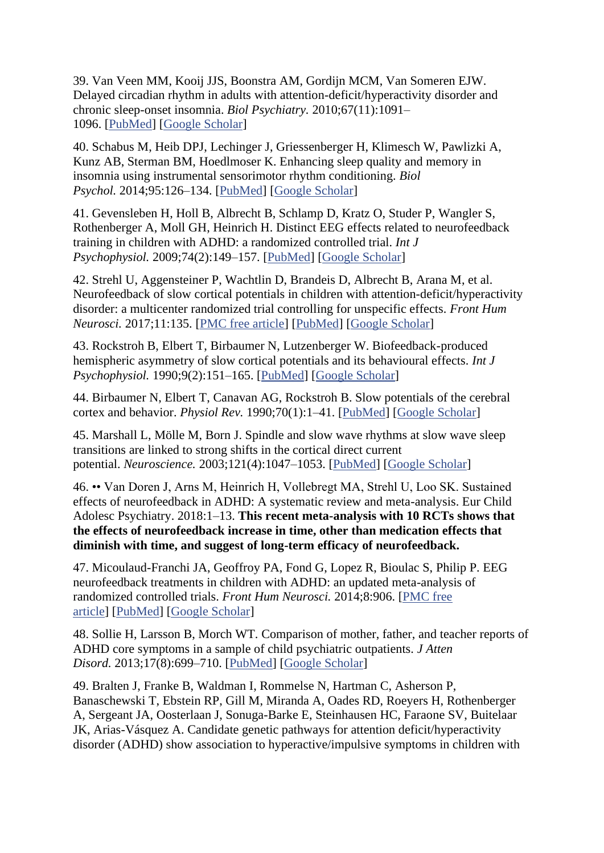39. Van Veen MM, Kooij JJS, Boonstra AM, Gordijn MCM, Van Someren EJW. Delayed circadian rhythm in adults with attention-deficit/hyperactivity disorder and chronic sleep-onset insomnia. *Biol Psychiatry.* 2010;67(11):1091– 1096. [\[PubMed\]](https://www.ncbi.nlm.nih.gov/pubmed/20163790) [\[Google Scholar\]](https://scholar.google.com/scholar_lookup?journal=Biol+Psychiatry&title=Delayed+circadian+rhythm+in+adults+with+attention-deficit/hyperactivity+disorder+and+chronic+sleep-onset+insomnia&author=MM+Van+Veen&author=JJS+Kooij&author=AM+Boonstra&author=MCM+Gordijn&author=EJW+Van+Someren&volume=67&issue=11&publication_year=2010&pages=1091-1096&pmid=20163790&)

40. Schabus M, Heib DPJ, Lechinger J, Griessenberger H, Klimesch W, Pawlizki A, Kunz AB, Sterman BM, Hoedlmoser K. Enhancing sleep quality and memory in insomnia using instrumental sensorimotor rhythm conditioning. *Biol Psychol.* 2014;95:126–134. [\[PubMed\]](https://www.ncbi.nlm.nih.gov/pubmed/23548378) [\[Google Scholar\]](https://scholar.google.com/scholar_lookup?journal=Biol+Psychol&title=Enhancing+sleep+quality+and+memory+in+insomnia+using+instrumental+sensorimotor+rhythm+conditioning&author=M+Schabus&author=DPJ+Heib&author=J+Lechinger&author=H+Griessenberger&author=W+Klimesch&volume=95&publication_year=2014&pages=126-134&pmid=23548378&)

41. Gevensleben H, Holl B, Albrecht B, Schlamp D, Kratz O, Studer P, Wangler S, Rothenberger A, Moll GH, Heinrich H. Distinct EEG effects related to neurofeedback training in children with ADHD: a randomized controlled trial. *Int J Psychophysiol.* 2009;74(2):149–157. [\[PubMed\]](https://www.ncbi.nlm.nih.gov/pubmed/19712709) [\[Google Scholar\]](https://scholar.google.com/scholar_lookup?journal=Int+J+Psychophysiol&title=Distinct+EEG+effects+related+to+neurofeedback+training+in+children+with+ADHD:+a+randomized+controlled+trial&author=H+Gevensleben&author=B+Holl&author=B+Albrecht&author=D+Schlamp&author=O+Kratz&volume=74&issue=2&publication_year=2009&pages=149-157&pmid=19712709&)

42. Strehl U, Aggensteiner P, Wachtlin D, Brandeis D, Albrecht B, Arana M, et al. Neurofeedback of slow cortical potentials in children with attention-deficit/hyperactivity disorder: a multicenter randomized trial controlling for unspecific effects. *Front Hum Neurosci.* 2017;11:135. [\[PMC free article\]](https://www.ncbi.nlm.nih.gov/pmc/articles/PMC5374218/) [\[PubMed\]](https://www.ncbi.nlm.nih.gov/pubmed/28408873) [\[Google Scholar\]](https://scholar.google.com/scholar_lookup?journal=Front+Hum+Neurosci&title=Neurofeedback+of+slow+cortical+potentials+in+children+with+attention-deficit/hyperactivity+disorder:+a+multicenter+randomized+trial+controlling+for+unspecific+effects&author=U+Strehl&author=P+Aggensteiner&author=D+Wachtlin&author=D+Brandeis&author=B+Albrecht&volume=11&publication_year=2017&pages=135&pmid=28408873&)

43. Rockstroh B, Elbert T, Birbaumer N, Lutzenberger W. Biofeedback-produced hemispheric asymmetry of slow cortical potentials and its behavioural effects. *Int J Psychophysiol.* 1990;9(2):151–165. [\[PubMed\]](https://www.ncbi.nlm.nih.gov/pubmed/2228749) [\[Google Scholar\]](https://scholar.google.com/scholar_lookup?journal=Int+J+Psychophysiol&title=Biofeedback-produced+hemispheric+asymmetry+of+slow+cortical+potentials+and+its+behavioural+effects&author=B+Rockstroh&author=T+Elbert&author=N+Birbaumer&author=W+Lutzenberger&volume=9&issue=2&publication_year=1990&pages=151-165&pmid=2228749&)

44. Birbaumer N, Elbert T, Canavan AG, Rockstroh B. Slow potentials of the cerebral cortex and behavior. *Physiol Rev.* 1990;70(1):1–41. [\[PubMed\]](https://www.ncbi.nlm.nih.gov/pubmed/2404287) [\[Google Scholar\]](https://scholar.google.com/scholar_lookup?journal=Physiol+Rev&title=Slow+potentials+of+the+cerebral+cortex+and+behavior&author=N+Birbaumer&author=T+Elbert&author=AG+Canavan&author=B+Rockstroh&volume=70&issue=1&publication_year=1990&pages=1-41&pmid=2404287&)

45. Marshall L, Mölle M, Born J. Spindle and slow wave rhythms at slow wave sleep transitions are linked to strong shifts in the cortical direct current potential. *Neuroscience.* 2003;121(4):1047–1053. [\[PubMed\]](https://www.ncbi.nlm.nih.gov/pubmed/14580954) [\[Google Scholar\]](https://scholar.google.com/scholar_lookup?journal=Neuroscience.&title=Spindle+and+slow+wave+rhythms+at+slow+wave+sleep+transitions+are+linked+to+strong+shifts+in+the+cortical+direct+current+potential&author=L+Marshall&author=M+M%C3%B6lle&author=J+Born&volume=121&issue=4&publication_year=2003&pages=1047-1053&pmid=14580954&)

46. •• Van Doren J, Arns M, Heinrich H, Vollebregt MA, Strehl U, Loo SK. Sustained effects of neurofeedback in ADHD: A systematic review and meta-analysis. Eur Child Adolesc Psychiatry. 2018:1–13. **This recent meta-analysis with 10 RCTs shows that the effects of neurofeedback increase in time, other than medication effects that diminish with time, and suggest of long-term efficacy of neurofeedback.**

47. Micoulaud-Franchi JA, Geoffroy PA, Fond G, Lopez R, Bioulac S, Philip P. EEG neurofeedback treatments in children with ADHD: an updated meta-analysis of randomized controlled trials. *Front Hum Neurosci.* 2014;8:906. [\[PMC free](https://www.ncbi.nlm.nih.gov/pmc/articles/PMC4230047/)  [article\]](https://www.ncbi.nlm.nih.gov/pmc/articles/PMC4230047/) [\[PubMed\]](https://www.ncbi.nlm.nih.gov/pubmed/25431555) [\[Google Scholar\]](https://scholar.google.com/scholar_lookup?journal=Front+Hum+Neurosci&title=EEG+neurofeedback+treatments+in+children+with+ADHD:+an+updated+meta-analysis+of+randomized+controlled+trials&author=JA+Micoulaud-Franchi&author=PA+Geoffroy&author=G+Fond&author=R+Lopez&author=S+Bioulac&volume=8&publication_year=2014&pages=906&pmid=25431555&)

48. Sollie H, Larsson B, Morch WT. Comparison of mother, father, and teacher reports of ADHD core symptoms in a sample of child psychiatric outpatients. *J Atten Disord.* 2013;17(8):699–710. [\[PubMed\]](https://www.ncbi.nlm.nih.gov/pubmed/22441890) [\[Google Scholar\]](https://scholar.google.com/scholar_lookup?journal=J+Atten+Disord&title=Comparison+of+mother,+father,+and+teacher+reports+of+ADHD+core+symptoms+in+a+sample+of+child+psychiatric+outpatients&author=H+Sollie&author=B+Larsson&author=WT+Morch&volume=17&issue=8&publication_year=2013&pages=699-710&pmid=22441890&)

49. Bralten J, Franke B, Waldman I, Rommelse N, Hartman C, Asherson P, Banaschewski T, Ebstein RP, Gill M, Miranda A, Oades RD, Roeyers H, Rothenberger A, Sergeant JA, Oosterlaan J, Sonuga-Barke E, Steinhausen HC, Faraone SV, Buitelaar JK, Arias-Vásquez A. Candidate genetic pathways for attention deficit/hyperactivity disorder (ADHD) show association to hyperactive/impulsive symptoms in children with